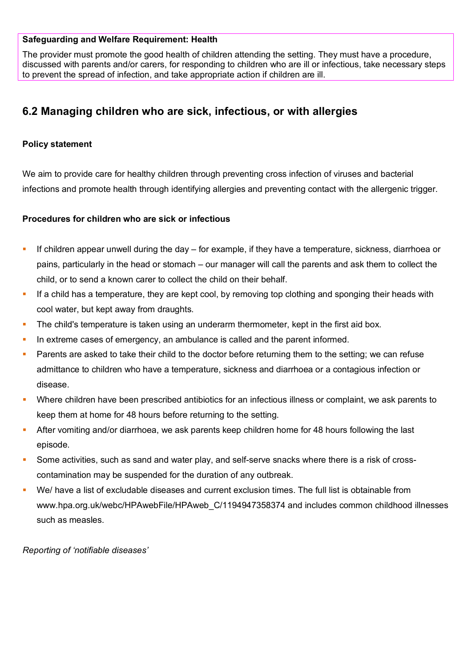#### **Safeguarding and Welfare Requirement: Health**

The provider must promote the good health of children attending the setting. They must have a procedure, discussed with parents and/or carers, for responding to children who are ill or infectious, take necessary steps to prevent the spread of infection, and take appropriate action if children are ill.

# **6.2 Managing children who are sick, infectious, or with allergies**

# **Policy statement**

We aim to provide care for healthy children through preventing cross infection of viruses and bacterial infections and promote health through identifying allergies and preventing contact with the allergenic trigger.

## **Procedures for children who are sick or infectious**

- If children appear unwell during the day for example, if they have a temperature, sickness, diarrhoea or pains, particularly in the head or stomach – our manager will call the parents and ask them to collect the child, or to send a known carer to collect the child on their behalf.
- If a child has a temperature, they are kept cool, by removing top clothing and sponging their heads with cool water, but kept away from draughts.
- **The child's temperature is taken using an underarm thermometer, kept in the first aid box.**
- In extreme cases of emergency, an ambulance is called and the parent informed.
- Parents are asked to take their child to the doctor before returning them to the setting; we can refuse admittance to children who have a temperature, sickness and diarrhoea or a contagious infection or disease.
- Where children have been prescribed antibiotics for an infectious illness or complaint, we ask parents to keep them at home for 48 hours before returning to the setting.
- After vomiting and/or diarrhoea, we ask parents keep children home for 48 hours following the last episode.
- Some activities, such as sand and water play, and self-serve snacks where there is a risk of crosscontamination may be suspended for the duration of any outbreak.
- We/ have a list of excludable diseases and current exclusion times. The full list is obtainable from www.hpa.org.uk/webc/HPAwebFile/HPAweb C/1194947358374 and includes common childhood illnesses such as measles.

*Reporting of 'notifiable diseases'*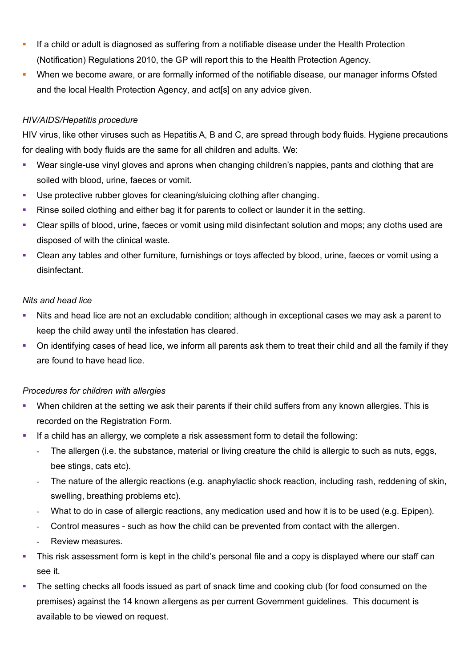- **If a child or adult is diagnosed as suffering from a notifiable disease under the Health Protection** (Notification) Regulations 2010, the GP will report this to the Health Protection Agency.
- When we become aware, or are formally informed of the notifiable disease, our manager informs Ofsted and the local Health Protection Agency, and act[s] on any advice given.

# *HIV/AIDS/Hepatitis procedure*

HIV virus, like other viruses such as Hepatitis A, B and C, are spread through body fluids. Hygiene precautions for dealing with body fluids are the same for all children and adults. We:

- Wear single-use vinyl gloves and aprons when changing children's nappies, pants and clothing that are soiled with blood, urine, faeces or vomit.
- Use protective rubber gloves for cleaning/sluicing clothing after changing.
- Rinse soiled clothing and either bag it for parents to collect or launder it in the setting.
- Clear spills of blood, urine, faeces or vomit using mild disinfectant solution and mops; any cloths used are disposed of with the clinical waste.
- Clean any tables and other furniture, furnishings or toys affected by blood, urine, faeces or vomit using a disinfectant.

# *Nits and head lice*

- Nits and head lice are not an excludable condition; although in exceptional cases we may ask a parent to keep the child away until the infestation has cleared.
- On identifying cases of head lice, we inform all parents ask them to treat their child and all the family if they are found to have head lice.

# *Procedures for children with allergies*

- When children at the setting we ask their parents if their child suffers from any known allergies. This is recorded on the Registration Form.
- If a child has an allergy, we complete a risk assessment form to detail the following:
	- The allergen (i.e. the substance, material or living creature the child is allergic to such as nuts, eggs, bee stings, cats etc).
	- The nature of the allergic reactions (e.g. anaphylactic shock reaction, including rash, reddening of skin, swelling, breathing problems etc).
	- What to do in case of allergic reactions, any medication used and how it is to be used (e.g. Epipen).
	- Control measures such as how the child can be prevented from contact with the allergen.
	- Review measures.
- This risk assessment form is kept in the child's personal file and a copy is displayed where our staff can see it.
- The setting checks all foods issued as part of snack time and cooking club (for food consumed on the premises) against the 14 known allergens as per current Government guidelines. This document is available to be viewed on request.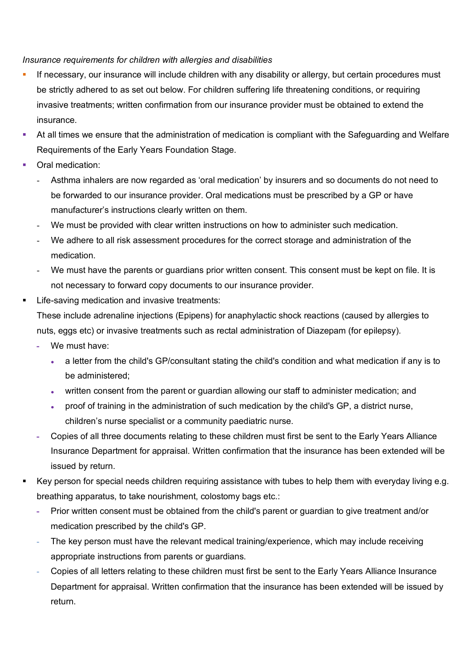## *Insurance requirements for children with allergies and disabilities*

- If necessary, our insurance will include children with any disability or allergy, but certain procedures must be strictly adhered to as set out below. For children suffering life threatening conditions, or requiring invasive treatments; written confirmation from our insurance provider must be obtained to extend the insurance.
- At all times we ensure that the administration of medication is compliant with the Safeguarding and Welfare Requirements of the Early Years Foundation Stage.
- Oral medication:
	- Asthma inhalers are now regarded as 'oral medication' by insurers and so documents do not need to be forwarded to our insurance provider. Oral medications must be prescribed by a GP or have manufacturer's instructions clearly written on them.
	- We must be provided with clear written instructions on how to administer such medication.
	- We adhere to all risk assessment procedures for the correct storage and administration of the medication.
	- We must have the parents or guardians prior written consent. This consent must be kept on file. It is not necessary to forward copy documents to our insurance provider.
- Life-saving medication and invasive treatments:

These include adrenaline injections (Epipens) for anaphylactic shock reactions (caused by allergies to nuts, eggs etc) or invasive treatments such as rectal administration of Diazepam (for epilepsy).

- **-** We must have:
	- a letter from the child's GP/consultant stating the child's condition and what medication if any is to be administered;
	- written consent from the parent or guardian allowing our staff to administer medication; and
	- proof of training in the administration of such medication by the child's GP, a district nurse, children's nurse specialist or a community paediatric nurse.
- **-** Copies of all three documents relating to these children must first be sent to the Early Years Alliance Insurance Department for appraisal. Written confirmation that the insurance has been extended will be issued by return.
- Key person for special needs children requiring assistance with tubes to help them with everyday living e.g. breathing apparatus, to take nourishment, colostomy bags etc.:
	- **-** Prior written consent must be obtained from the child's parent or guardian to give treatment and/or medication prescribed by the child's GP.
	- The key person must have the relevant medical training/experience, which may include receiving appropriate instructions from parents or guardians.
	- Copies of all letters relating to these children must first be sent to the Early Years Alliance Insurance Department for appraisal. Written confirmation that the insurance has been extended will be issued by return.